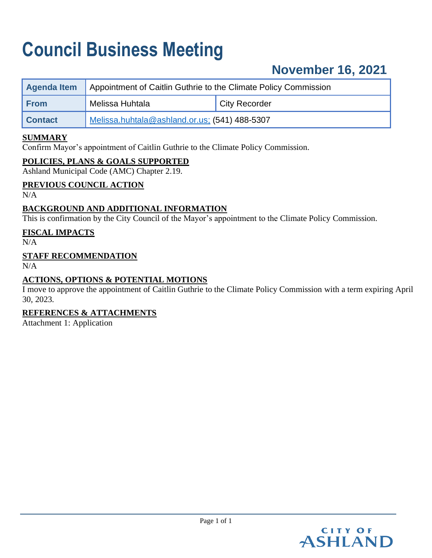# **Council Business Meeting**

## **November 16, 2021**

| Agenda Item    | Appointment of Caitlin Guthrie to the Climate Policy Commission |                      |  |
|----------------|-----------------------------------------------------------------|----------------------|--|
| <b>From</b>    | Melissa Huhtala                                                 | <b>City Recorder</b> |  |
| <b>Contact</b> | Melissa.huhtala@ashland.or.us; (541) 488-5307                   |                      |  |

#### **SUMMARY**

Confirm Mayor's appointment of Caitlin Guthrie to the Climate Policy Commission.

#### **POLICIES, PLANS & GOALS SUPPORTED**

Ashland Municipal Code (AMC) Chapter 2.19.

#### **PREVIOUS COUNCIL ACTION**

N/A

#### **BACKGROUND AND ADDITIONAL INFORMATION**

This is confirmation by the City Council of the Mayor's appointment to the Climate Policy Commission.

#### **FISCAL IMPACTS**

 $N/A$ 

#### **STAFF RECOMMENDATION**

 $N/A$ 

#### **ACTIONS, OPTIONS & POTENTIAL MOTIONS**

I move to approve the appointment of Caitlin Guthrie to the Climate Policy Commission with a term expiring April 30, 2023.

#### **REFERENCES & ATTACHMENTS**

Attachment 1: Application

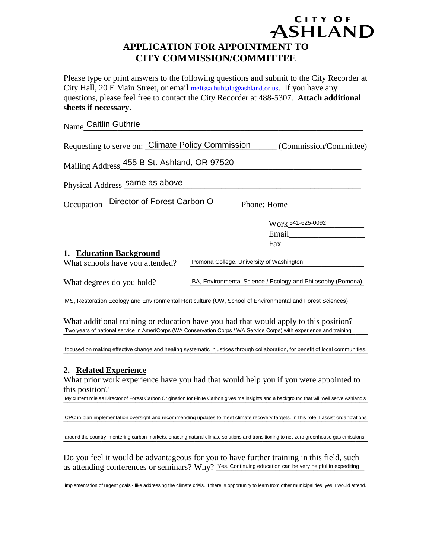### ASHLAND **APPLICATION FOR APPOINTMENT TO CITY COMMISSION/COMMITTEE**

CITY OF

Please type or print answers to the following questions and submit to the City Recorder at City Hall, 20 E Main Street, or email [melissa.huhtala@ashland.or.us.](mailto:melissa.huhtala@ashland.or.us) If you have any questions, please feel free to contact the City Recorder at 488-5307. **Attach additional sheets if necessary.**

| Name_Caitlin Guthrie                                                                                                                                                                                                                                                            |                                                             |
|---------------------------------------------------------------------------------------------------------------------------------------------------------------------------------------------------------------------------------------------------------------------------------|-------------------------------------------------------------|
| Requesting to serve on: Climate Policy Commission                                                                                                                                                                                                                               | (Commission/Committee)                                      |
| Mailing Address 455 B St. Ashland, OR 97520                                                                                                                                                                                                                                     |                                                             |
| Physical Address same as above                                                                                                                                                                                                                                                  |                                                             |
| Occupation_Director of Forest Carbon O                                                                                                                                                                                                                                          | Phone: Home                                                 |
|                                                                                                                                                                                                                                                                                 | Work 541-625-0092<br>Fax                                    |
| 1. Education Background                                                                                                                                                                                                                                                         |                                                             |
| What schools have you attended?                                                                                                                                                                                                                                                 | Pomona College, University of Washington                    |
| What degrees do you hold?                                                                                                                                                                                                                                                       | BA, Environmental Science / Ecology and Philosophy (Pomona) |
| MS, Restoration Ecology and Environmental Horticulture (UW, School of Environmental and Forest Sciences)                                                                                                                                                                        |                                                             |
| What additional training or education have you had that would apply to this position?<br>Two years of national service in AmeriCorps (WA Conservation Corps / WA Service Corps) with experience and training                                                                    |                                                             |
| focused on making effective change and healing systematic injustices through collaboration, for benefit of local communities.                                                                                                                                                   |                                                             |
| 2. Related Experience<br>What prior work experience have you had that would help you if you were appointed to<br>this position?<br>My current role as Director of Forest Carbon Origination for Finite Carbon gives me insights and a background that will well serve Ashland's |                                                             |
| CPC in plan implementation oversight and recommending updates to meet climate recovery targets. In this role, I assist organizations                                                                                                                                            |                                                             |
| around the country in entering carbon markets, enacting natural climate solutions and transitioning to net-zero greenhouse gas emissions.                                                                                                                                       |                                                             |
| Do you feel it would be advantageous for you to have further training in this field, such<br>as attending conferences or seminars? Why? Yes. Continuing education can be very helpful in expediting                                                                             |                                                             |
| implementation of urgent goals - like addressing the climate crisis. If there is opportunity to learn from other municipalities, yes, I would attend.                                                                                                                           |                                                             |

#### **2. Related Experience**

implementation of urgent goals - like addressing the climate crisis. If there is opportunity to learn from other municipalities, yes, I would attend.